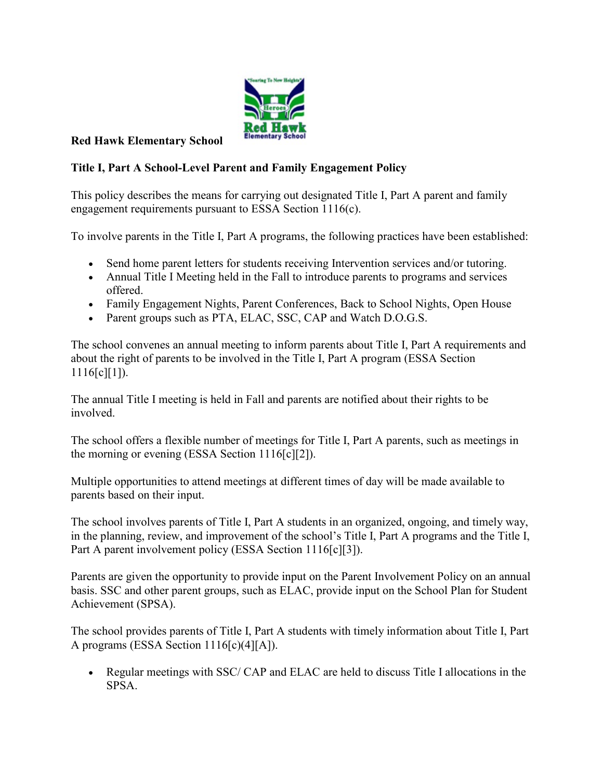

## **Red Hawk Elementary School**

## **Title I, Part A School-Level Parent and Family Engagement Policy**

This policy describes the means for carrying out designated Title I, Part A parent and family engagement requirements pursuant to ESSA Section 1116(c).

To involve parents in the Title I, Part A programs, the following practices have been established:

- Send home parent letters for students receiving Intervention services and/or tutoring.
- Annual Title I Meeting held in the Fall to introduce parents to programs and services offered.
- Family Engagement Nights, Parent Conferences, Back to School Nights, Open House
- Parent groups such as PTA, ELAC, SSC, CAP and Watch D.O.G.S.

The school convenes an annual meeting to inform parents about Title I, Part A requirements and about the right of parents to be involved in the Title I, Part A program (ESSA Section 1116[c][1]).

The annual Title I meeting is held in Fall and parents are notified about their rights to be involved.

The school offers a flexible number of meetings for Title I, Part A parents, such as meetings in the morning or evening (ESSA Section 1116[c][2]).

Multiple opportunities to attend meetings at different times of day will be made available to parents based on their input.

The school involves parents of Title I, Part A students in an organized, ongoing, and timely way, in the planning, review, and improvement of the school's Title I, Part A programs and the Title I, Part A parent involvement policy (ESSA Section 1116[c][3]).

Parents are given the opportunity to provide input on the Parent Involvement Policy on an annual basis. SSC and other parent groups, such as ELAC, provide input on the School Plan for Student Achievement (SPSA).

The school provides parents of Title I, Part A students with timely information about Title I, Part A programs (ESSA Section 1116[c)(4][A]).

• Regular meetings with SSC/ CAP and ELAC are held to discuss Title I allocations in the SPSA.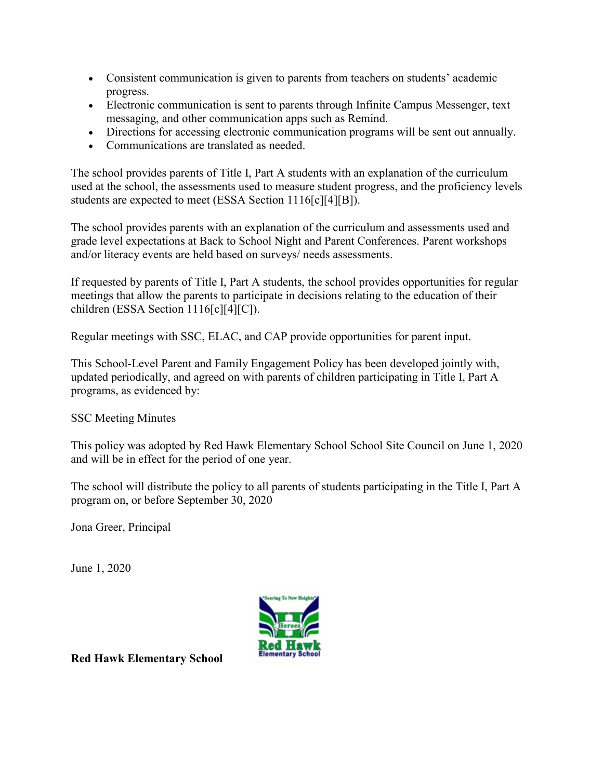- Consistent communication is given to parents from teachers on students' academic progress.
- Electronic communication is sent to parents through Infinite Campus Messenger, text messaging, and other communication apps such as Remind.
- Directions for accessing electronic communication programs will be sent out annually.
- Communications are translated as needed.

The school provides parents of Title I, Part A students with an explanation of the curriculum used at the school, the assessments used to measure student progress, and the proficiency levels students are expected to meet (ESSA Section 1116[c][4][B]).

The school provides parents with an explanation of the curriculum and assessments used and grade level expectations at Back to School Night and Parent Conferences. Parent workshops and/or literacy events are held based on surveys/ needs assessments.

If requested by parents of Title I, Part A students, the school provides opportunities for regular meetings that allow the parents to participate in decisions relating to the education of their children (ESSA Section 1116[c][4][C]).

Regular meetings with SSC, ELAC, and CAP provide opportunities for parent input.

This School-Level Parent and Family Engagement Policy has been developed jointly with, updated periodically, and agreed on with parents of children participating in Title I, Part A programs, as evidenced by:

SSC Meeting Minutes

This policy was adopted by Red Hawk Elementary School School Site Council on June 1, 2020 and will be in effect for the period of one year.

The school will distribute the policy to all parents of students participating in the Title I, Part A program on, or before September 30, 2020

Jona Greer, Principal

June 1, 2020



**Red Hawk Elementary School**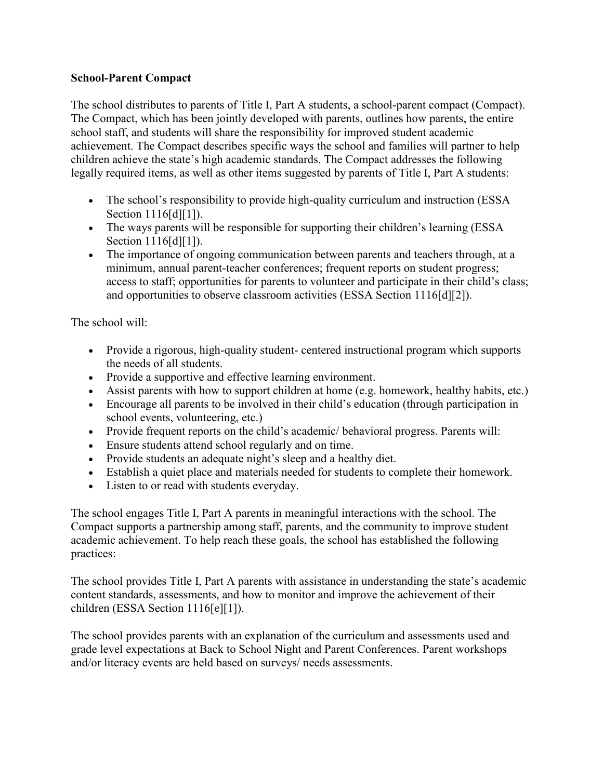## **School-Parent Compact**

The school distributes to parents of Title I, Part A students, a school-parent compact (Compact). The Compact, which has been jointly developed with parents, outlines how parents, the entire school staff, and students will share the responsibility for improved student academic achievement. The Compact describes specific ways the school and families will partner to help children achieve the state's high academic standards. The Compact addresses the following legally required items, as well as other items suggested by parents of Title I, Part A students:

- The school's responsibility to provide high-quality curriculum and instruction (ESSA) Section 1116[d][1]).
- The ways parents will be responsible for supporting their children's learning (ESSA) Section 1116[d][1]).
- The importance of ongoing communication between parents and teachers through, at a minimum, annual parent-teacher conferences; frequent reports on student progress; access to staff; opportunities for parents to volunteer and participate in their child's class; and opportunities to observe classroom activities (ESSA Section 1116[d][2]).

The school will:

- Provide a rigorous, high-quality student- centered instructional program which supports the needs of all students.
- Provide a supportive and effective learning environment.
- Assist parents with how to support children at home (e.g. homework, healthy habits, etc.)
- Encourage all parents to be involved in their child's education (through participation in school events, volunteering, etc.)
- Provide frequent reports on the child's academic/ behavioral progress. Parents will:
- Ensure students attend school regularly and on time.
- Provide students an adequate night's sleep and a healthy diet.
- Establish a quiet place and materials needed for students to complete their homework.
- Listen to or read with students everyday.

The school engages Title I, Part A parents in meaningful interactions with the school. The Compact supports a partnership among staff, parents, and the community to improve student academic achievement. To help reach these goals, the school has established the following practices:

The school provides Title I, Part A parents with assistance in understanding the state's academic content standards, assessments, and how to monitor and improve the achievement of their children (ESSA Section 1116[e][1]).

The school provides parents with an explanation of the curriculum and assessments used and grade level expectations at Back to School Night and Parent Conferences. Parent workshops and/or literacy events are held based on surveys/ needs assessments.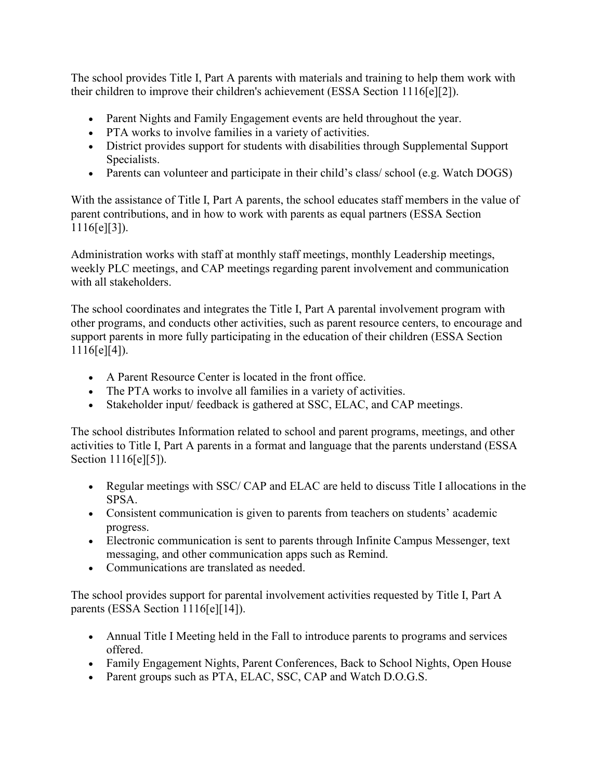The school provides Title I, Part A parents with materials and training to help them work with their children to improve their children's achievement (ESSA Section 1116[e][2]).

- Parent Nights and Family Engagement events are held throughout the year.
- PTA works to involve families in a variety of activities.
- District provides support for students with disabilities through Supplemental Support Specialists.
- Parents can volunteer and participate in their child's class/ school (e.g. Watch DOGS)

With the assistance of Title I, Part A parents, the school educates staff members in the value of parent contributions, and in how to work with parents as equal partners (ESSA Section 1116[e][3]).

Administration works with staff at monthly staff meetings, monthly Leadership meetings, weekly PLC meetings, and CAP meetings regarding parent involvement and communication with all stakeholders.

The school coordinates and integrates the Title I, Part A parental involvement program with other programs, and conducts other activities, such as parent resource centers, to encourage and support parents in more fully participating in the education of their children (ESSA Section 1116[e][4]).

- A Parent Resource Center is located in the front office.
- The PTA works to involve all families in a variety of activities.
- Stakeholder input/ feedback is gathered at SSC, ELAC, and CAP meetings.

The school distributes Information related to school and parent programs, meetings, and other activities to Title I, Part A parents in a format and language that the parents understand (ESSA Section 1116[e][5]).

- Regular meetings with SSC/ CAP and ELAC are held to discuss Title I allocations in the SPSA.
- Consistent communication is given to parents from teachers on students' academic progress.
- Electronic communication is sent to parents through Infinite Campus Messenger, text messaging, and other communication apps such as Remind.
- Communications are translated as needed.

The school provides support for parental involvement activities requested by Title I, Part A parents (ESSA Section 1116[e][14]).

- Annual Title I Meeting held in the Fall to introduce parents to programs and services offered.
- Family Engagement Nights, Parent Conferences, Back to School Nights, Open House
- Parent groups such as PTA, ELAC, SSC, CAP and Watch D.O.G.S.